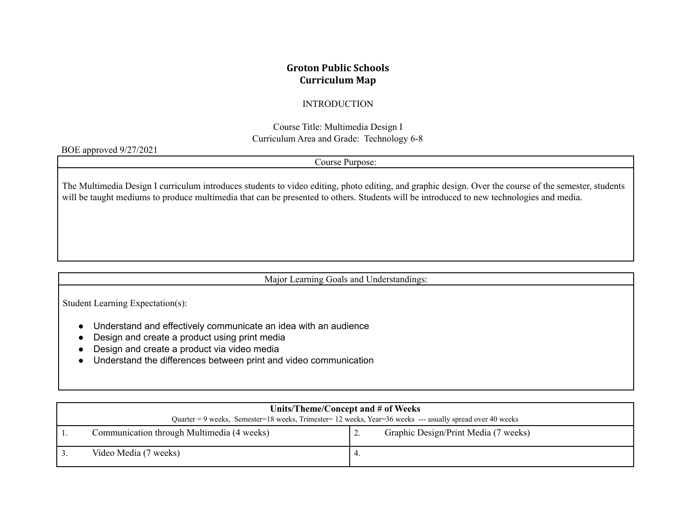# **Groton Public Schools Curriculum Map**

### INTRODUCTION

Course Title: Multimedia Design I Curriculum Area and Grade: Technology 6-8

#### BOE approved 9/27/2021

Course Purpose:

The Multimedia Design I curriculum introduces students to video editing, photo editing, and graphic design. Over the course of the semester, students will be taught mediums to produce multimedia that can be presented to others. Students will be introduced to new technologies and media.

Major Learning Goals and Understandings:

Student Learning Expectation(s):

- Understand and effectively communicate an idea with an audience
- Design and create a product using print media
- Design and create a product via video media
- Understand the differences between print and video communication

|                                                                                                          | Units/Theme/Concept and # of Weeks         |  |                                      |  |  |
|----------------------------------------------------------------------------------------------------------|--------------------------------------------|--|--------------------------------------|--|--|
| Quarter = 9 weeks, Semester=18 weeks, Trimester=12 weeks, Year=36 weeks --- usually spread over 40 weeks |                                            |  |                                      |  |  |
|                                                                                                          | Communication through Multimedia (4 weeks) |  | Graphic Design/Print Media (7 weeks) |  |  |
|                                                                                                          | Video Media (7 weeks)                      |  |                                      |  |  |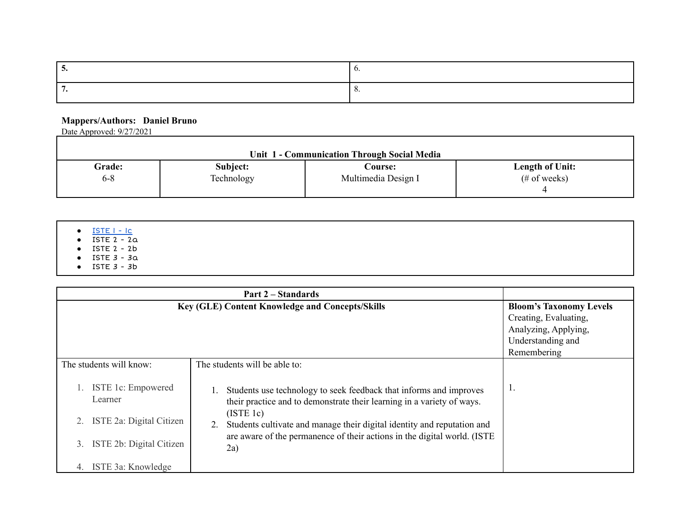#### **Mappers/Authors: Daniel Bruno**

Date Approved: 9/27/2021

| Unit 1 - Communication Through Social Media |            |                     |                        |  |  |  |
|---------------------------------------------|------------|---------------------|------------------------|--|--|--|
| <b>Grade:</b>                               | Subject:   | Course: L           | <b>Length of Unit:</b> |  |  |  |
| $6 - 8$                                     | Technology | Multimedia Design I | $(\# of weeks)$        |  |  |  |

| $\bullet$ ISTE I - Ic<br>$\bullet$ ISTE $2 - 2a$<br>$\bullet$ ISTE 2 - 2b |  |  |  |
|---------------------------------------------------------------------------|--|--|--|
| $\bullet$ ISTE $3 - 3a$<br>$\bullet$ ISTE $3 - 3b$                        |  |  |  |

| Part 2 – Standards                                                                    |                                                                                                                                                                                                                                                                                                                         |                       |  |  |  |  |
|---------------------------------------------------------------------------------------|-------------------------------------------------------------------------------------------------------------------------------------------------------------------------------------------------------------------------------------------------------------------------------------------------------------------------|-----------------------|--|--|--|--|
|                                                                                       | Key (GLE) Content Knowledge and Concepts/Skills<br><b>Bloom's Taxonomy Levels</b>                                                                                                                                                                                                                                       |                       |  |  |  |  |
|                                                                                       |                                                                                                                                                                                                                                                                                                                         | Creating, Evaluating, |  |  |  |  |
|                                                                                       |                                                                                                                                                                                                                                                                                                                         | Analyzing, Applying,  |  |  |  |  |
|                                                                                       |                                                                                                                                                                                                                                                                                                                         | Understanding and     |  |  |  |  |
|                                                                                       |                                                                                                                                                                                                                                                                                                                         | Remembering           |  |  |  |  |
| The students will know:                                                               | The students will be able to:                                                                                                                                                                                                                                                                                           |                       |  |  |  |  |
| ISTE 1c: Empowered<br>Learner<br>ISTE 2a: Digital Citizen<br>ISTE 2b: Digital Citizen | Students use technology to seek feedback that informs and improves<br>their practice and to demonstrate their learning in a variety of ways.<br>(ISTE 1c)<br>Students cultivate and manage their digital identity and reputation and<br>are aware of the permanence of their actions in the digital world. (ISTE<br>2a) | Ι.                    |  |  |  |  |
| ISTE 3a: Knowledge<br>4.                                                              |                                                                                                                                                                                                                                                                                                                         |                       |  |  |  |  |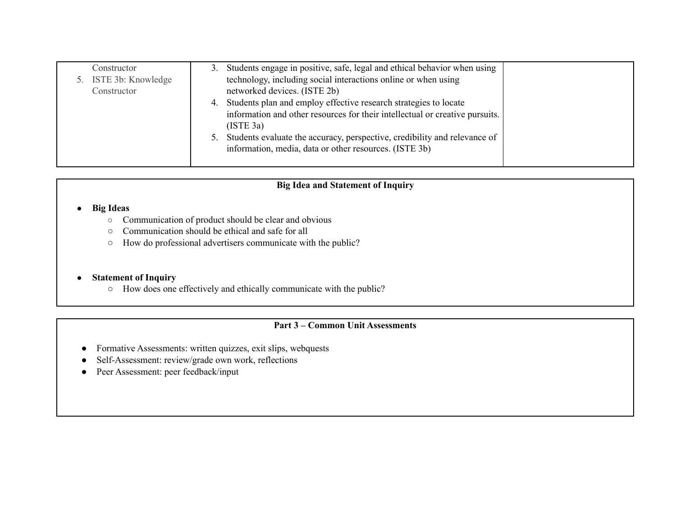| Constructor           | 3. | Students engage in positive, safe, legal and ethical behavior when using     |  |
|-----------------------|----|------------------------------------------------------------------------------|--|
| 5. ISTE 3b: Knowledge |    | technology, including social interactions online or when using               |  |
| Constructor           |    | networked devices. (ISTE 2b)                                                 |  |
|                       |    | 4. Students plan and employ effective research strategies to locate          |  |
|                       |    | information and other resources for their intellectual or creative pursuits. |  |
|                       |    | (ISTE 3a)                                                                    |  |
|                       |    | 5. Students evaluate the accuracy, perspective, credibility and relevance of |  |
|                       |    | information, media, data or other resources. (ISTE 3b)                       |  |
|                       |    |                                                                              |  |

## **Big Idea and Statement of Inquiry**

#### **● Big Ideas**

- **○** Communication of product should be clear and obvious
- Communication should be ethical and safe for all
- How do professional advertisers communicate with the public?

### **● Statement of Inquiry**

○ How does one effectively and ethically communicate with the public?

### **Part 3 – Common Unit Assessments**

- Formative Assessments: written quizzes, exit slips, webquests
- Self-Assessment: review/grade own work, reflections
- Peer Assessment: peer feedback/input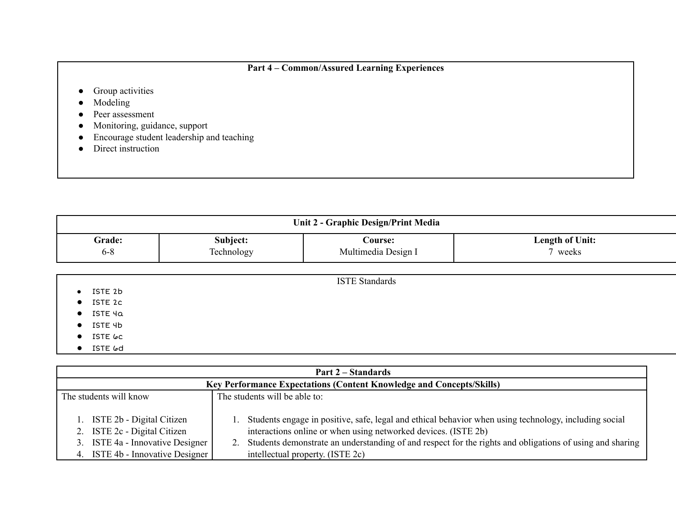# **Part 4 – Common/Assured Learning Experiences**

- Group activities
- Modeling
- Peer assessment
- Monitoring, guidance, support
- Encourage student leadership and teaching
- Direct instruction

| Unit 2 - Graphic Design/Print Media |                        |                                       |                                   |  |
|-------------------------------------|------------------------|---------------------------------------|-----------------------------------|--|
| Grade:<br>$6 - 8$                   | Subject:<br>Technology | <b>Course:</b><br>Multimedia Design I | <b>Length of Unit:</b><br>7 weeks |  |
|                                     |                        |                                       |                                   |  |
| ISTE 2b                             |                        | <b>ISTE Standards</b>                 |                                   |  |

- **●** ISTE 2c
- **●** ISTE 4a
- **●** ISTE 4b
- **●** ISTE 6c
- **●** ISTE 6d

| Part 2 – Standards                                                                                                                   |                                                                                                                                                                                                                                                                                                                            |  |  |
|--------------------------------------------------------------------------------------------------------------------------------------|----------------------------------------------------------------------------------------------------------------------------------------------------------------------------------------------------------------------------------------------------------------------------------------------------------------------------|--|--|
| Key Performance Expectations (Content Knowledge and Concepts/Skills)                                                                 |                                                                                                                                                                                                                                                                                                                            |  |  |
| The students will know                                                                                                               | The students will be able to:                                                                                                                                                                                                                                                                                              |  |  |
| 1. ISTE 2b - Digital Citizen<br>2. ISTE 2c - Digital Citizen<br>3. ISTE 4a - Innovative Designer<br>4. ISTE 4b - Innovative Designer | Students engage in positive, safe, legal and ethical behavior when using technology, including social<br>interactions online or when using networked devices. (ISTE 2b)<br>2. Students demonstrate an understanding of and respect for the rights and obligations of using and sharing<br>intellectual property. (ISTE 2c) |  |  |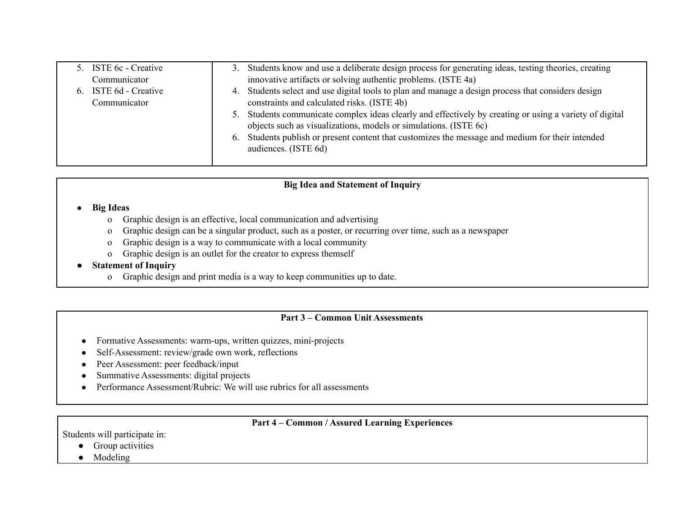| 5. ISTE 6c - Creative<br>Communicator | 3. Students know and use a deliberate design process for generating ideas, testing theories, creating<br>innovative artifacts or solving authentic problems. (ISTE 4a)      |
|---------------------------------------|-----------------------------------------------------------------------------------------------------------------------------------------------------------------------------|
| 6. ISTE 6d - Creative<br>Communicator | 4. Students select and use digital tools to plan and manage a design process that considers design<br>constraints and calculated risks. (ISTE 4b)                           |
|                                       | 5. Students communicate complex ideas clearly and effectively by creating or using a variety of digital<br>objects such as visualizations, models or simulations. (ISTE 6c) |
|                                       | 6. Students publish or present content that customizes the message and medium for their intended<br>audiences. (ISTE 6d)                                                    |
|                                       |                                                                                                                                                                             |

### **Big Idea and Statement of Inquiry**

#### **● Big Ideas**

- o Graphic design is an effective, local communication and advertising
- o Graphic design can be a singular product, such as a poster, or recurring over time, such as a newspaper
- o Graphic design is a way to communicate with a local community
- o Graphic design is an outlet for the creator to express themself

### **● Statement of Inquiry**

o Graphic design and print media is a way to keep communities up to date.

#### **Part 3 – Common Unit Assessments**

- Formative Assessments: warm-ups, written quizzes, mini-projects
- Self-Assessment: review/grade own work, reflections
- Peer Assessment: peer feedback/input
- Summative Assessments: digital projects
- Performance Assessment/Rubric: We will use rubrics for all assessments

### **Part 4 – Common / Assured Learning Experiences**

Students will participate in:

- Group activities
- Modeling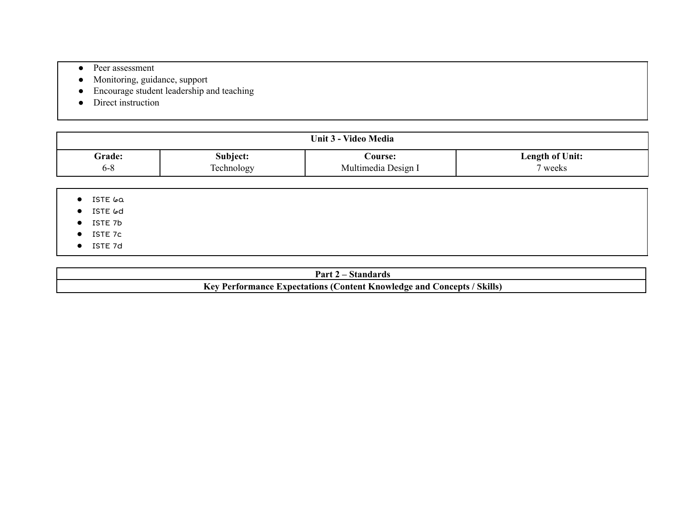- Peer assessment
- Monitoring, guidance, support
- Encourage student leadership and teaching
- Direct instruction

| Unit 3 - Video Media |            |                     |                        |  |  |
|----------------------|------------|---------------------|------------------------|--|--|
| <b>Grade:</b>        | Subject:   | Course:             | <b>Length of Unit:</b> |  |  |
| 6-8                  | Technology | Multimedia Design I | weeks                  |  |  |

● ISTE 6a

● ISTE 6d

- ISTE 7b
- ISTE 7c
- ISTE 7d

| Part.<br>dards                                                                                                                  |  |
|---------------------------------------------------------------------------------------------------------------------------------|--|
| ┳ <del>ァ</del><br>Skills)<br>Concepts<br>$\cdot$ $\alpha x$<br>Knowledge and<br>Expectations<br><b>Content</b><br>mance:<br>ти. |  |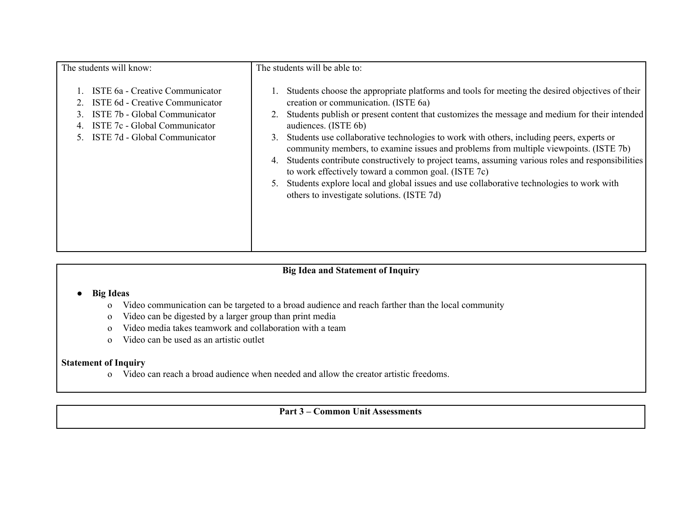| The students will know:                                                                                                                                               | The students will be able to:                                                                                                                                                                                                                                                                                                                                                                                                                                                                                                                                                                                                                                                                                                                                                |
|-----------------------------------------------------------------------------------------------------------------------------------------------------------------------|------------------------------------------------------------------------------------------------------------------------------------------------------------------------------------------------------------------------------------------------------------------------------------------------------------------------------------------------------------------------------------------------------------------------------------------------------------------------------------------------------------------------------------------------------------------------------------------------------------------------------------------------------------------------------------------------------------------------------------------------------------------------------|
| ISTE 6a - Creative Communicator<br>ISTE 6d - Creative Communicator<br>ISTE 7b - Global Communicator<br>ISTE 7c - Global Communicator<br>ISTE 7d - Global Communicator | Students choose the appropriate platforms and tools for meeting the desired objectives of their<br>creation or communication. (ISTE 6a)<br>Students publish or present content that customizes the message and medium for their intended<br>audiences. (ISTE 6b)<br>Students use collaborative technologies to work with others, including peers, experts or<br>3.<br>community members, to examine issues and problems from multiple viewpoints. (ISTE 7b)<br>Students contribute constructively to project teams, assuming various roles and responsibilities<br>4.<br>to work effectively toward a common goal. (ISTE 7c)<br>Students explore local and global issues and use collaborative technologies to work with<br>5.<br>others to investigate solutions. (ISTE 7d) |

# **Big Idea and Statement of Inquiry**

- **● Big Ideas**
	- o Video communication can be targeted to a broad audience and reach farther than the local community
	- o Video can be digested by a larger group than print media
	- o Video media takes teamwork and collaboration with a team
	- o Video can be used as an artistic outlet

## **Statement of Inquiry**

o Video can reach a broad audience when needed and allow the creator artistic freedoms.

# **Part 3 – Common Unit Assessments**